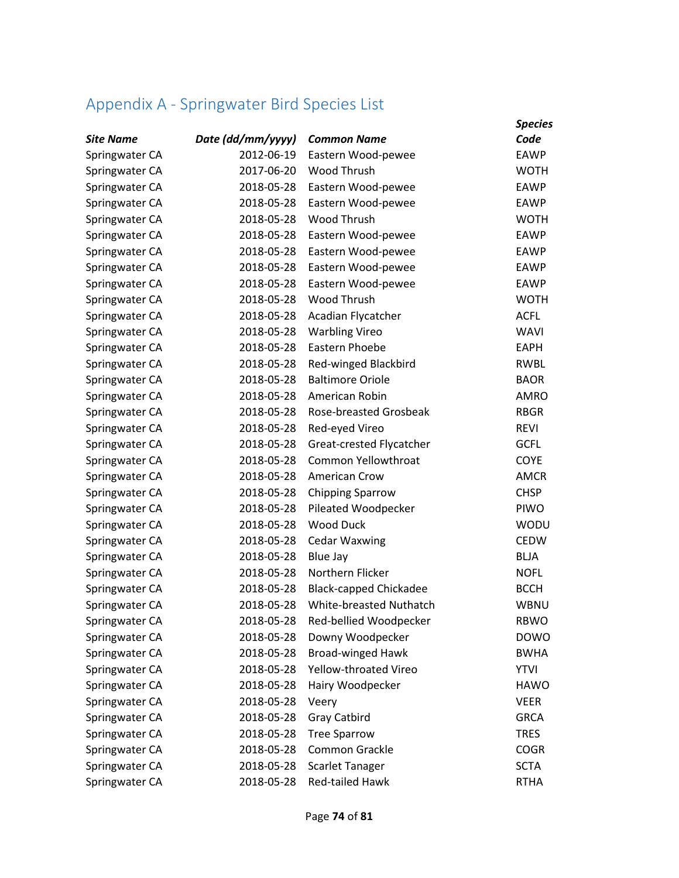## Appendix A - Springwater Bird Species List

|                  |                   |                               | <b>Species</b> |
|------------------|-------------------|-------------------------------|----------------|
| <b>Site Name</b> | Date (dd/mm/yyyy) | <b>Common Name</b>            | Code           |
| Springwater CA   | 2012-06-19        | Eastern Wood-pewee            | <b>EAWP</b>    |
| Springwater CA   | 2017-06-20        | Wood Thrush                   | <b>WOTH</b>    |
| Springwater CA   | 2018-05-28        | Eastern Wood-pewee            | <b>EAWP</b>    |
| Springwater CA   | 2018-05-28        | Eastern Wood-pewee            | <b>EAWP</b>    |
| Springwater CA   | 2018-05-28        | Wood Thrush                   | <b>WOTH</b>    |
| Springwater CA   | 2018-05-28        | Eastern Wood-pewee            | <b>EAWP</b>    |
| Springwater CA   | 2018-05-28        | Eastern Wood-pewee            | <b>EAWP</b>    |
| Springwater CA   | 2018-05-28        | Eastern Wood-pewee            | EAWP           |
| Springwater CA   | 2018-05-28        | Eastern Wood-pewee            | <b>EAWP</b>    |
| Springwater CA   | 2018-05-28        | Wood Thrush                   | <b>WOTH</b>    |
| Springwater CA   | 2018-05-28        | Acadian Flycatcher            | <b>ACFL</b>    |
| Springwater CA   | 2018-05-28        | <b>Warbling Vireo</b>         | <b>WAVI</b>    |
| Springwater CA   | 2018-05-28        | Eastern Phoebe                | <b>EAPH</b>    |
| Springwater CA   | 2018-05-28        | Red-winged Blackbird          | <b>RWBL</b>    |
| Springwater CA   | 2018-05-28        | <b>Baltimore Oriole</b>       | <b>BAOR</b>    |
| Springwater CA   | 2018-05-28        | American Robin                | <b>AMRO</b>    |
| Springwater CA   | 2018-05-28        | Rose-breasted Grosbeak        | <b>RBGR</b>    |
| Springwater CA   | 2018-05-28        | Red-eyed Vireo                | <b>REVI</b>    |
| Springwater CA   | 2018-05-28        | Great-crested Flycatcher      | <b>GCFL</b>    |
| Springwater CA   | 2018-05-28        | Common Yellowthroat           | <b>COYE</b>    |
| Springwater CA   | 2018-05-28        | <b>American Crow</b>          | <b>AMCR</b>    |
| Springwater CA   | 2018-05-28        | <b>Chipping Sparrow</b>       | <b>CHSP</b>    |
| Springwater CA   | 2018-05-28        | Pileated Woodpecker           | <b>PIWO</b>    |
| Springwater CA   | 2018-05-28        | Wood Duck                     | <b>WODU</b>    |
| Springwater CA   | 2018-05-28        | <b>Cedar Waxwing</b>          | <b>CEDW</b>    |
| Springwater CA   | 2018-05-28        | <b>Blue Jay</b>               | <b>BLJA</b>    |
| Springwater CA   | 2018-05-28        | Northern Flicker              | <b>NOFL</b>    |
| Springwater CA   | 2018-05-28        | <b>Black-capped Chickadee</b> | <b>BCCH</b>    |
| Springwater CA   | 2018-05-28        | White-breasted Nuthatch       | <b>WBNU</b>    |
| Springwater CA   | 2018-05-28        | Red-bellied Woodpecker        | <b>RBWO</b>    |
| Springwater CA   | 2018-05-28        | Downy Woodpecker              | <b>DOWO</b>    |
| Springwater CA   | 2018-05-28        | <b>Broad-winged Hawk</b>      | <b>BWHA</b>    |
| Springwater CA   | 2018-05-28        | Yellow-throated Vireo         | <b>YTVI</b>    |
| Springwater CA   | 2018-05-28        | Hairy Woodpecker              | <b>HAWO</b>    |
| Springwater CA   | 2018-05-28        | Veery                         | <b>VEER</b>    |
| Springwater CA   | 2018-05-28        | Gray Catbird                  | <b>GRCA</b>    |
| Springwater CA   | 2018-05-28        | <b>Tree Sparrow</b>           | <b>TRES</b>    |
| Springwater CA   | 2018-05-28        | Common Grackle                | <b>COGR</b>    |
| Springwater CA   | 2018-05-28        | <b>Scarlet Tanager</b>        | <b>SCTA</b>    |
| Springwater CA   | 2018-05-28        | Red-tailed Hawk               | <b>RTHA</b>    |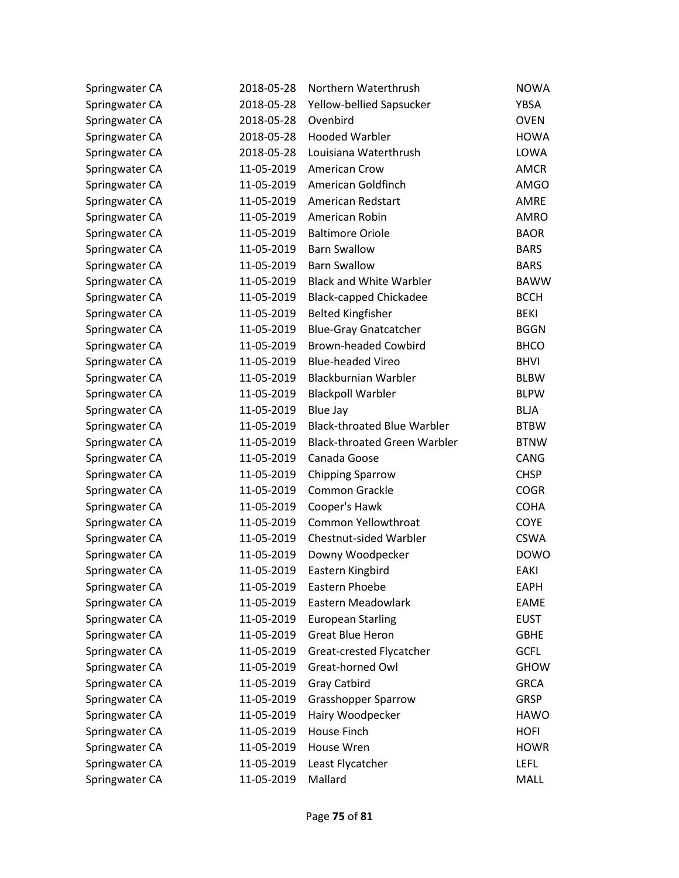| Springwater CA | 2018-05-28 | Northern Waterthrush                | <b>NOWA</b> |
|----------------|------------|-------------------------------------|-------------|
| Springwater CA | 2018-05-28 | Yellow-bellied Sapsucker            | <b>YBSA</b> |
| Springwater CA | 2018-05-28 | Ovenbird                            | <b>OVEN</b> |
| Springwater CA | 2018-05-28 | <b>Hooded Warbler</b>               | <b>HOWA</b> |
| Springwater CA | 2018-05-28 | Louisiana Waterthrush               | LOWA        |
| Springwater CA | 11-05-2019 | American Crow                       | <b>AMCR</b> |
| Springwater CA | 11-05-2019 | American Goldfinch                  | <b>AMGO</b> |
| Springwater CA | 11-05-2019 | American Redstart                   | <b>AMRE</b> |
| Springwater CA | 11-05-2019 | American Robin                      | AMRO        |
| Springwater CA | 11-05-2019 | <b>Baltimore Oriole</b>             | <b>BAOR</b> |
| Springwater CA | 11-05-2019 | <b>Barn Swallow</b>                 | <b>BARS</b> |
| Springwater CA | 11-05-2019 | <b>Barn Swallow</b>                 | <b>BARS</b> |
| Springwater CA | 11-05-2019 | <b>Black and White Warbler</b>      | <b>BAWW</b> |
| Springwater CA | 11-05-2019 | <b>Black-capped Chickadee</b>       | <b>BCCH</b> |
| Springwater CA | 11-05-2019 | <b>Belted Kingfisher</b>            | <b>BEKI</b> |
| Springwater CA | 11-05-2019 | <b>Blue-Gray Gnatcatcher</b>        | <b>BGGN</b> |
| Springwater CA | 11-05-2019 | <b>Brown-headed Cowbird</b>         | <b>BHCO</b> |
| Springwater CA | 11-05-2019 | <b>Blue-headed Vireo</b>            | <b>BHVI</b> |
| Springwater CA | 11-05-2019 | <b>Blackburnian Warbler</b>         | <b>BLBW</b> |
| Springwater CA | 11-05-2019 | <b>Blackpoll Warbler</b>            | <b>BLPW</b> |
| Springwater CA | 11-05-2019 | <b>Blue Jay</b>                     | <b>BLJA</b> |
| Springwater CA | 11-05-2019 | <b>Black-throated Blue Warbler</b>  | <b>BTBW</b> |
| Springwater CA | 11-05-2019 | <b>Black-throated Green Warbler</b> | <b>BTNW</b> |
| Springwater CA | 11-05-2019 | Canada Goose                        | CANG        |
| Springwater CA | 11-05-2019 | <b>Chipping Sparrow</b>             | <b>CHSP</b> |
| Springwater CA | 11-05-2019 | <b>Common Grackle</b>               | <b>COGR</b> |
| Springwater CA | 11-05-2019 | Cooper's Hawk                       | <b>COHA</b> |
| Springwater CA | 11-05-2019 | Common Yellowthroat                 | <b>COYE</b> |
| Springwater CA | 11-05-2019 | Chestnut-sided Warbler              | <b>CSWA</b> |
| Springwater CA | 11-05-2019 | Downy Woodpecker                    | <b>DOWO</b> |
| Springwater CA | 11-05-2019 | Eastern Kingbird                    | EAKI        |
| Springwater CA | 11-05-2019 | Eastern Phoebe                      | <b>EAPH</b> |
| Springwater CA | 11-05-2019 | Eastern Meadowlark                  | <b>EAME</b> |
| Springwater CA | 11-05-2019 | <b>European Starling</b>            | <b>EUST</b> |
| Springwater CA | 11-05-2019 | <b>Great Blue Heron</b>             | <b>GBHE</b> |
| Springwater CA | 11-05-2019 | Great-crested Flycatcher            | <b>GCFL</b> |
| Springwater CA | 11-05-2019 | Great-horned Owl                    | <b>GHOW</b> |
| Springwater CA | 11-05-2019 | <b>Gray Catbird</b>                 | <b>GRCA</b> |
| Springwater CA | 11-05-2019 | <b>Grasshopper Sparrow</b>          | <b>GRSP</b> |
| Springwater CA | 11-05-2019 | Hairy Woodpecker                    | <b>HAWO</b> |
| Springwater CA | 11-05-2019 | House Finch                         | <b>HOFI</b> |
| Springwater CA | 11-05-2019 | <b>House Wren</b>                   | <b>HOWR</b> |
| Springwater CA | 11-05-2019 | Least Flycatcher                    | <b>LEFL</b> |
| Springwater CA | 11-05-2019 | Mallard                             | MALL        |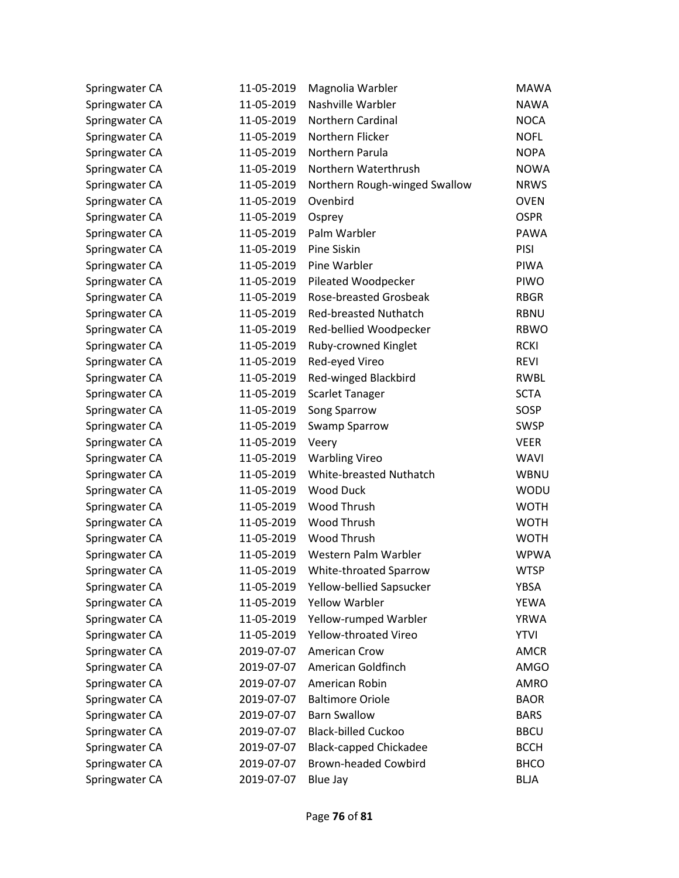| Springwater CA | 11-05-2019 | Magnolia Warbler              | <b>MAWA</b> |
|----------------|------------|-------------------------------|-------------|
| Springwater CA | 11-05-2019 | Nashville Warbler             | <b>NAWA</b> |
| Springwater CA | 11-05-2019 | <b>Northern Cardinal</b>      | <b>NOCA</b> |
| Springwater CA | 11-05-2019 | Northern Flicker              | <b>NOFL</b> |
| Springwater CA | 11-05-2019 | Northern Parula               | <b>NOPA</b> |
| Springwater CA | 11-05-2019 | Northern Waterthrush          | <b>NOWA</b> |
| Springwater CA | 11-05-2019 | Northern Rough-winged Swallow | <b>NRWS</b> |
| Springwater CA | 11-05-2019 | Ovenbird                      | <b>OVEN</b> |
| Springwater CA | 11-05-2019 | Osprey                        | <b>OSPR</b> |
| Springwater CA | 11-05-2019 | Palm Warbler                  | <b>PAWA</b> |
| Springwater CA | 11-05-2019 | Pine Siskin                   | <b>PISI</b> |
| Springwater CA | 11-05-2019 | Pine Warbler                  | <b>PIWA</b> |
| Springwater CA | 11-05-2019 | Pileated Woodpecker           | PIWO        |
| Springwater CA | 11-05-2019 | <b>Rose-breasted Grosbeak</b> | <b>RBGR</b> |
| Springwater CA | 11-05-2019 | <b>Red-breasted Nuthatch</b>  | <b>RBNU</b> |
| Springwater CA | 11-05-2019 | Red-bellied Woodpecker        | <b>RBWO</b> |
| Springwater CA | 11-05-2019 | Ruby-crowned Kinglet          | <b>RCKI</b> |
| Springwater CA | 11-05-2019 | Red-eyed Vireo                | <b>REVI</b> |
| Springwater CA | 11-05-2019 | Red-winged Blackbird          | RWBL        |
| Springwater CA | 11-05-2019 | <b>Scarlet Tanager</b>        | <b>SCTA</b> |
| Springwater CA | 11-05-2019 | Song Sparrow                  | SOSP        |
| Springwater CA | 11-05-2019 | <b>Swamp Sparrow</b>          | <b>SWSP</b> |
| Springwater CA | 11-05-2019 | Veery                         | <b>VEER</b> |
| Springwater CA | 11-05-2019 | <b>Warbling Vireo</b>         | <b>WAVI</b> |
| Springwater CA | 11-05-2019 | White-breasted Nuthatch       | WBNU        |
| Springwater CA | 11-05-2019 | <b>Wood Duck</b>              | <b>WODU</b> |
| Springwater CA | 11-05-2019 | Wood Thrush                   | <b>WOTH</b> |
| Springwater CA | 11-05-2019 | Wood Thrush                   | <b>WOTH</b> |
| Springwater CA | 11-05-2019 | Wood Thrush                   | <b>WOTH</b> |
| Springwater CA | 11-05-2019 | Western Palm Warbler          | <b>WPWA</b> |
| Springwater CA | 11-05-2019 | White-throated Sparrow        | <b>WTSP</b> |
| Springwater CA | 11-05-2019 | Yellow-bellied Sapsucker      | <b>YBSA</b> |
| Springwater CA | 11-05-2019 | <b>Yellow Warbler</b>         | <b>YEWA</b> |
| Springwater CA | 11-05-2019 | Yellow-rumped Warbler         | <b>YRWA</b> |
| Springwater CA | 11-05-2019 | Yellow-throated Vireo         | <b>YTVI</b> |
| Springwater CA | 2019-07-07 | <b>American Crow</b>          | <b>AMCR</b> |
| Springwater CA | 2019-07-07 | American Goldfinch            | <b>AMGO</b> |
| Springwater CA | 2019-07-07 | American Robin                | AMRO        |
| Springwater CA | 2019-07-07 | <b>Baltimore Oriole</b>       | <b>BAOR</b> |
| Springwater CA | 2019-07-07 | <b>Barn Swallow</b>           | <b>BARS</b> |
| Springwater CA | 2019-07-07 | <b>Black-billed Cuckoo</b>    | <b>BBCU</b> |
| Springwater CA | 2019-07-07 | <b>Black-capped Chickadee</b> | <b>BCCH</b> |
| Springwater CA | 2019-07-07 | <b>Brown-headed Cowbird</b>   | <b>BHCO</b> |
| Springwater CA | 2019-07-07 | Blue Jay                      | <b>BLJA</b> |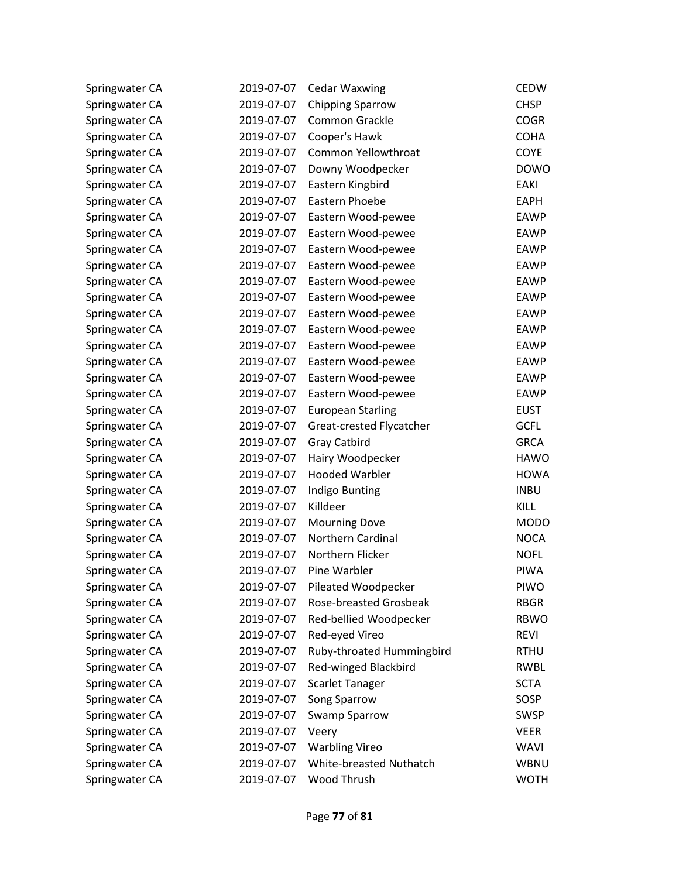| Springwater CA | 2019-07-07 | <b>Cedar Waxwing</b>          | <b>CEDW</b> |
|----------------|------------|-------------------------------|-------------|
| Springwater CA | 2019-07-07 | <b>Chipping Sparrow</b>       | <b>CHSP</b> |
| Springwater CA | 2019-07-07 | Common Grackle                | <b>COGR</b> |
| Springwater CA | 2019-07-07 | Cooper's Hawk                 | <b>COHA</b> |
| Springwater CA | 2019-07-07 | Common Yellowthroat           | COYE        |
| Springwater CA | 2019-07-07 | Downy Woodpecker              | <b>DOWO</b> |
| Springwater CA | 2019-07-07 | Eastern Kingbird              | EAKI        |
| Springwater CA | 2019-07-07 | Eastern Phoebe                | <b>EAPH</b> |
| Springwater CA | 2019-07-07 | Eastern Wood-pewee            | <b>EAWP</b> |
| Springwater CA | 2019-07-07 | Eastern Wood-pewee            | <b>EAWP</b> |
| Springwater CA | 2019-07-07 | Eastern Wood-pewee            | <b>EAWP</b> |
| Springwater CA | 2019-07-07 | Eastern Wood-pewee            | <b>EAWP</b> |
| Springwater CA | 2019-07-07 | Eastern Wood-pewee            | <b>EAWP</b> |
| Springwater CA | 2019-07-07 | Eastern Wood-pewee            | <b>EAWP</b> |
| Springwater CA | 2019-07-07 | Eastern Wood-pewee            | <b>EAWP</b> |
| Springwater CA | 2019-07-07 | Eastern Wood-pewee            | <b>EAWP</b> |
| Springwater CA | 2019-07-07 | Eastern Wood-pewee            | <b>EAWP</b> |
| Springwater CA | 2019-07-07 | Eastern Wood-pewee            | <b>EAWP</b> |
| Springwater CA | 2019-07-07 | Eastern Wood-pewee            | <b>EAWP</b> |
| Springwater CA | 2019-07-07 | Eastern Wood-pewee            | EAWP        |
| Springwater CA | 2019-07-07 | <b>European Starling</b>      | <b>EUST</b> |
| Springwater CA | 2019-07-07 | Great-crested Flycatcher      | <b>GCFL</b> |
| Springwater CA | 2019-07-07 | Gray Catbird                  | <b>GRCA</b> |
| Springwater CA | 2019-07-07 | Hairy Woodpecker              | <b>HAWO</b> |
| Springwater CA | 2019-07-07 | <b>Hooded Warbler</b>         | <b>HOWA</b> |
| Springwater CA | 2019-07-07 | Indigo Bunting                | <b>INBU</b> |
| Springwater CA | 2019-07-07 | Killdeer                      | KILL        |
| Springwater CA | 2019-07-07 | <b>Mourning Dove</b>          | <b>MODO</b> |
| Springwater CA | 2019-07-07 | Northern Cardinal             | <b>NOCA</b> |
| Springwater CA | 2019-07-07 | Northern Flicker              | <b>NOFL</b> |
| Springwater CA | 2019-07-07 | Pine Warbler                  | <b>PIWA</b> |
| Springwater CA | 2019-07-07 | Pileated Woodpecker           | <b>PIWO</b> |
| Springwater CA | 2019-07-07 | <b>Rose-breasted Grosbeak</b> | <b>RBGR</b> |
| Springwater CA | 2019-07-07 | Red-bellied Woodpecker        | <b>RBWO</b> |
| Springwater CA | 2019-07-07 | Red-eyed Vireo                | <b>REVI</b> |
| Springwater CA | 2019-07-07 | Ruby-throated Hummingbird     | <b>RTHU</b> |
| Springwater CA | 2019-07-07 | Red-winged Blackbird          | RWBL        |
| Springwater CA | 2019-07-07 | <b>Scarlet Tanager</b>        | <b>SCTA</b> |
| Springwater CA | 2019-07-07 | Song Sparrow                  | SOSP        |
| Springwater CA | 2019-07-07 | <b>Swamp Sparrow</b>          | <b>SWSP</b> |
| Springwater CA | 2019-07-07 | Veery                         | <b>VEER</b> |
| Springwater CA | 2019-07-07 | <b>Warbling Vireo</b>         | <b>WAVI</b> |
| Springwater CA | 2019-07-07 | White-breasted Nuthatch       | WBNU        |
| Springwater CA | 2019-07-07 | Wood Thrush                   | <b>WOTH</b> |